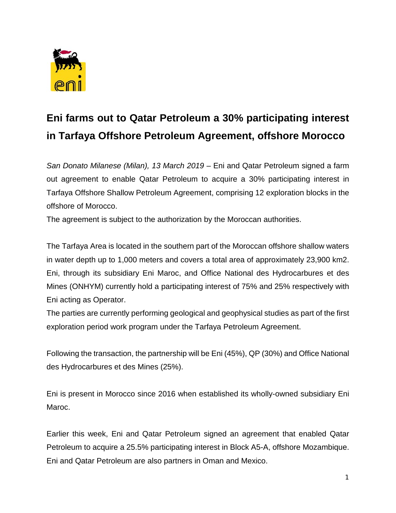

## **Eni farms out to Qatar Petroleum a 30% participating interest in Tarfaya Offshore Petroleum Agreement, offshore Morocco**

*San Donato Milanese (Milan), 13 March 2019 –* Eni and Qatar Petroleum signed a farm out agreement to enable Qatar Petroleum to acquire a 30% participating interest in Tarfaya Offshore Shallow Petroleum Agreement, comprising 12 exploration blocks in the offshore of Morocco.

The agreement is subject to the authorization by the Moroccan authorities.

The Tarfaya Area is located in the southern part of the Moroccan offshore shallow waters in water depth up to 1,000 meters and covers a total area of approximately 23,900 km2. Eni, through its subsidiary Eni Maroc, and Office National des Hydrocarbures et des Mines (ONHYM) currently hold a participating interest of 75% and 25% respectively with Eni acting as Operator.

The parties are currently performing geological and geophysical studies as part of the first exploration period work program under the Tarfaya Petroleum Agreement.

Following the transaction, the partnership will be Eni (45%), QP (30%) and Office National des Hydrocarbures et des Mines (25%).

Eni is present in Morocco since 2016 when established its wholly-owned subsidiary Eni Maroc.

Earlier this week, Eni and Qatar Petroleum signed an agreement that enabled Qatar Petroleum to acquire a 25.5% participating interest in Block A5-A, offshore Mozambique. Eni and Qatar Petroleum are also partners in Oman and Mexico.